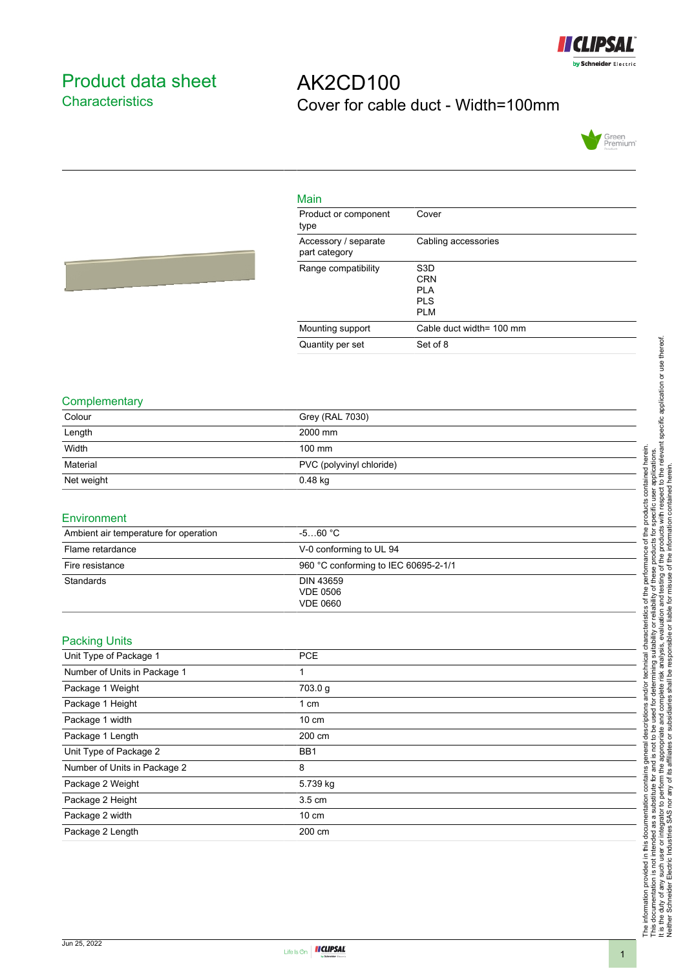

### <span id="page-0-0"></span>Product data sheet **Characteristics**

# AK2CD100 Cover for cable duct - Width=100mm



| Main                                  |                                                                    |
|---------------------------------------|--------------------------------------------------------------------|
| Product or component<br>type          | Cover                                                              |
| Accessory / separate<br>part category | Cabling accessories                                                |
| Range compatibility                   | S <sub>3</sub> D<br><b>CRN</b><br>PI A<br><b>PIS</b><br><b>PLM</b> |
| Mounting support                      | Cable duct width= 100 mm                                           |
| Quantity per set                      | Set of 8                                                           |



| $\sim$     |                          |
|------------|--------------------------|
| Colour     | Grey (RAL 7030)          |
| Length     | 2000 mm                  |
| Width      | $100 \text{ mm}$         |
| Material   | PVC (polyvinyl chloride) |
| Net weight | $0.48$ kg                |
|            |                          |

| Environment                           |                                                 |  |
|---------------------------------------|-------------------------------------------------|--|
| Ambient air temperature for operation | $-560 °C$                                       |  |
| Flame retardance                      | V-0 conforming to UL 94                         |  |
| Fire resistance                       | 960 °C conforming to IEC 60695-2-1/1            |  |
| Standards                             | DIN 43659<br><b>VDE 0506</b><br><b>VDE 0660</b> |  |

#### Packing Units

| <b>L</b> adming Office       |                  |
|------------------------------|------------------|
| Unit Type of Package 1       | <b>PCE</b>       |
| Number of Units in Package 1 |                  |
| Package 1 Weight             | 703.0 g          |
| Package 1 Height             | 1 cm             |
| Package 1 width              | $10 \text{ cm}$  |
| Package 1 Length             | 200 cm           |
| Unit Type of Package 2       | BB <sub>1</sub>  |
| Number of Units in Package 2 | 8                |
| Package 2 Weight             | 5.739 kg         |
| Package 2 Height             | $3.5 \text{ cm}$ |
| Package 2 width              | $10 \text{ cm}$  |
| Package 2 Length             | 200 cm           |